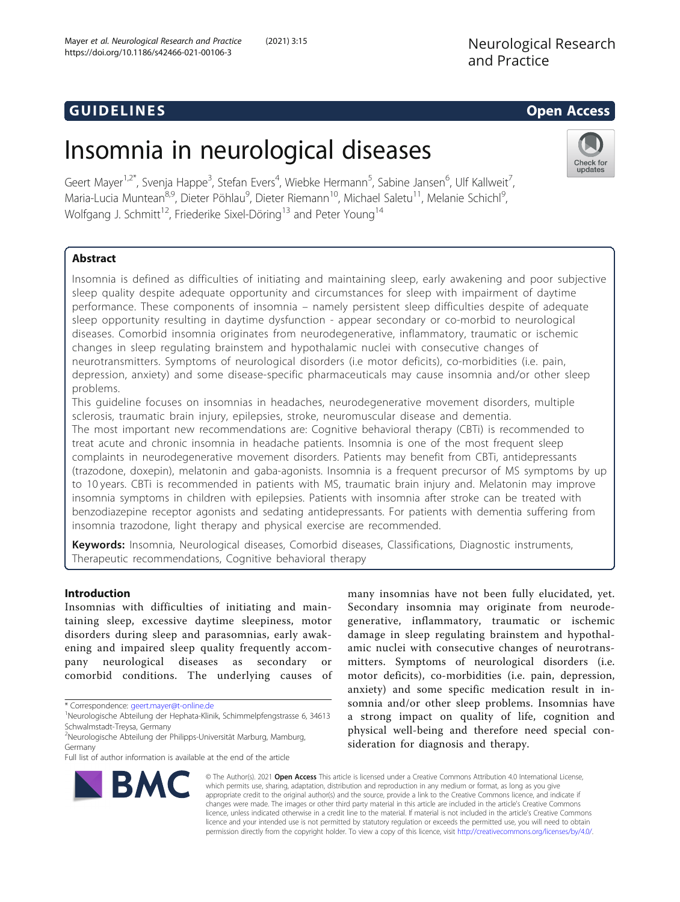# **GUIDELINES** Open Access **CONTRACTES**

Check for updates

# Insomnia in neurological diseases

Geert Mayer<sup>1,2\*</sup>, Svenja Happe<sup>3</sup>, Stefan Evers<sup>4</sup>, Wiebke Hermann<sup>5</sup>, Sabine Jansen<sup>6</sup>, Ulf Kallweit<sup>7</sup> , Maria-Lucia Muntean<sup>8,9</sup>, Dieter Pöhlau<sup>9</sup>, Dieter Riemann<sup>10</sup>, Michael Saletu<sup>11</sup>, Melanie Schichl<sup>9</sup> , Wolfgang J. Schmitt<sup>12</sup>, Friederike Sixel-Döring<sup>13</sup> and Peter Young<sup>14</sup>

# Abstract

Insomnia is defined as difficulties of initiating and maintaining sleep, early awakening and poor subjective sleep quality despite adequate opportunity and circumstances for sleep with impairment of daytime performance. These components of insomnia – namely persistent sleep difficulties despite of adequate sleep opportunity resulting in daytime dysfunction - appear secondary or co-morbid to neurological diseases. Comorbid insomnia originates from neurodegenerative, inflammatory, traumatic or ischemic changes in sleep regulating brainstem and hypothalamic nuclei with consecutive changes of neurotransmitters. Symptoms of neurological disorders (i.e motor deficits), co-morbidities (i.e. pain, depression, anxiety) and some disease-specific pharmaceuticals may cause insomnia and/or other sleep problems.

This guideline focuses on insomnias in headaches, neurodegenerative movement disorders, multiple sclerosis, traumatic brain injury, epilepsies, stroke, neuromuscular disease and dementia.

The most important new recommendations are: Cognitive behavioral therapy (CBTi) is recommended to treat acute and chronic insomnia in headache patients. Insomnia is one of the most frequent sleep complaints in neurodegenerative movement disorders. Patients may benefit from CBTi, antidepressants (trazodone, doxepin), melatonin and gaba-agonists. Insomnia is a frequent precursor of MS symptoms by up to 10 years. CBTi is recommended in patients with MS, traumatic brain injury and. Melatonin may improve insomnia symptoms in children with epilepsies. Patients with insomnia after stroke can be treated with benzodiazepine receptor agonists and sedating antidepressants. For patients with dementia suffering from insomnia trazodone, light therapy and physical exercise are recommended.

Keywords: Insomnia, Neurological diseases, Comorbid diseases, Classifications, Diagnostic instruments, Therapeutic recommendations, Cognitive behavioral therapy

# Introduction

Insomnias with difficulties of initiating and maintaining sleep, excessive daytime sleepiness, motor disorders during sleep and parasomnias, early awakening and impaired sleep quality frequently accompany neurological diseases as secondary or comorbid conditions. The underlying causes of

\* Correspondence: [geert.mayer@t-online.de](mailto:geert.mayer@t-online.de) <sup>1</sup>

many insomnias have not been fully elucidated, yet. Secondary insomnia may originate from neurodegenerative, inflammatory, traumatic or ischemic damage in sleep regulating brainstem and hypothalamic nuclei with consecutive changes of neurotransmitters. Symptoms of neurological disorders (i.e. motor deficits), co-morbidities (i.e. pain, depression, anxiety) and some specific medication result in insomnia and/or other sleep problems. Insomnias have a strong impact on quality of life, cognition and physical well-being and therefore need special consideration for diagnosis and therapy.



© The Author(s). 2021 Open Access This article is licensed under a Creative Commons Attribution 4.0 International License, which permits use, sharing, adaptation, distribution and reproduction in any medium or format, as long as you give appropriate credit to the original author(s) and the source, provide a link to the Creative Commons licence, and indicate if changes were made. The images or other third party material in this article are included in the article's Creative Commons licence, unless indicated otherwise in a credit line to the material. If material is not included in the article's Creative Commons licence and your intended use is not permitted by statutory regulation or exceeds the permitted use, you will need to obtain permission directly from the copyright holder. To view a copy of this licence, visit [http://creativecommons.org/licenses/by/4.0/.](http://creativecommons.org/licenses/by/4.0/)

Neurologische Abteilung der Hephata-Klinik, Schimmelpfengstrasse 6, 34613 Schwalmstadt-Treysa, Germany

<sup>&</sup>lt;sup>2</sup>Neurologische Abteilung der Philipps-Universität Marburg, Mamburg, Germany

Full list of author information is available at the end of the article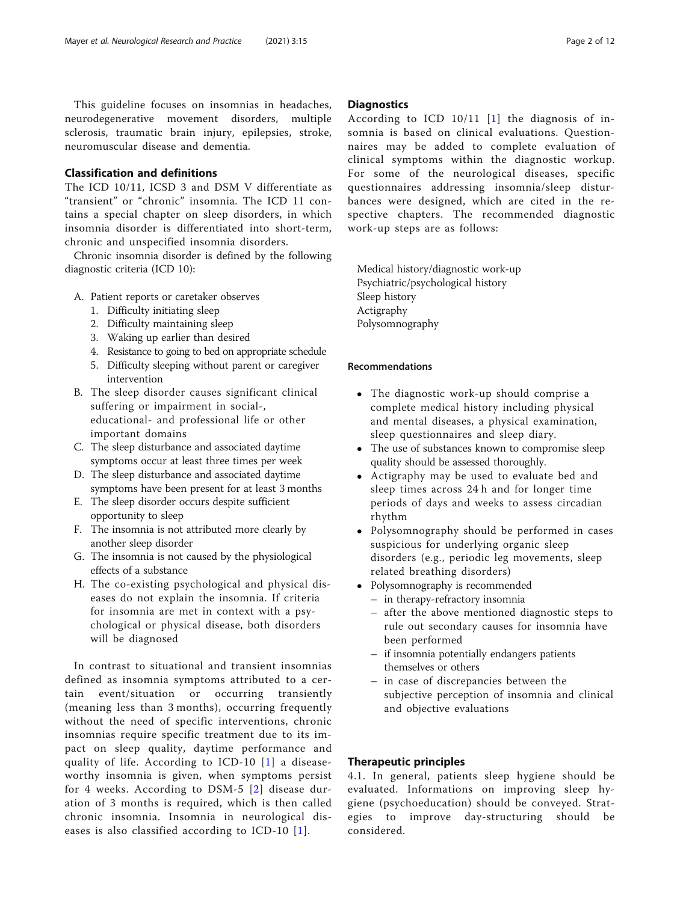This guideline focuses on insomnias in headaches, neurodegenerative movement disorders, multiple sclerosis, traumatic brain injury, epilepsies, stroke, neuromuscular disease and dementia.

# Classification and definitions

The ICD 10/11, ICSD 3 and DSM V differentiate as "transient" or "chronic" insomnia. The ICD 11 contains a special chapter on sleep disorders, in which insomnia disorder is differentiated into short-term, chronic and unspecified insomnia disorders.

Chronic insomnia disorder is defined by the following diagnostic criteria (ICD 10):

- A. Patient reports or caretaker observes
	- 1. Difficulty initiating sleep
	- 2. Difficulty maintaining sleep
	- 3. Waking up earlier than desired
	- 4. Resistance to going to bed on appropriate schedule
	- 5. Difficulty sleeping without parent or caregiver intervention
- B. The sleep disorder causes significant clinical suffering or impairment in social-, educational- and professional life or other important domains
- C. The sleep disturbance and associated daytime symptoms occur at least three times per week
- D. The sleep disturbance and associated daytime symptoms have been present for at least 3 months
- E. The sleep disorder occurs despite sufficient opportunity to sleep
- F. The insomnia is not attributed more clearly by another sleep disorder
- G. The insomnia is not caused by the physiological effects of a substance
- H. The co-existing psychological and physical diseases do not explain the insomnia. If criteria for insomnia are met in context with a psychological or physical disease, both disorders will be diagnosed

In contrast to situational and transient insomnias defined as insomnia symptoms attributed to a certain event/situation or occurring transiently (meaning less than 3 months), occurring frequently without the need of specific interventions, chronic insomnias require specific treatment due to its impact on sleep quality, daytime performance and quality of life. According to ICD-10 [\[1\]](#page-9-0) a diseaseworthy insomnia is given, when symptoms persist for 4 weeks. According to DSM-5 [[2](#page-9-0)] disease duration of 3 months is required, which is then called chronic insomnia. Insomnia in neurological diseases is also classified according to ICD-10 [[1\]](#page-9-0).

# **Diagnostics**

According to ICD 10/11 [[1](#page-9-0)] the diagnosis of insomnia is based on clinical evaluations. Questionnaires may be added to complete evaluation of clinical symptoms within the diagnostic workup. For some of the neurological diseases, specific questionnaires addressing insomnia/sleep disturbances were designed, which are cited in the respective chapters. The recommended diagnostic work-up steps are as follows:

Medical history/diagnostic work-up Psychiatric/psychological history Sleep history Actigraphy Polysomnography

# Recommendations

- The diagnostic work-up should comprise a complete medical history including physical and mental diseases, a physical examination, sleep questionnaires and sleep diary.
- The use of substances known to compromise sleep quality should be assessed thoroughly.
- Actigraphy may be used to evaluate bed and sleep times across 24 h and for longer time periods of days and weeks to assess circadian rhythm
- Polysomnography should be performed in cases suspicious for underlying organic sleep disorders (e.g., periodic leg movements, sleep related breathing disorders)
- Polysomnography is recommended – in therapy-refractory insomnia
	- after the above mentioned diagnostic steps to rule out secondary causes for insomnia have been performed
	- if insomnia potentially endangers patients themselves or others
	- in case of discrepancies between the subjective perception of insomnia and clinical and objective evaluations

#### Therapeutic principles

4.1. In general, patients sleep hygiene should be evaluated. Informations on improving sleep hygiene (psychoeducation) should be conveyed. Strategies to improve day-structuring should be considered.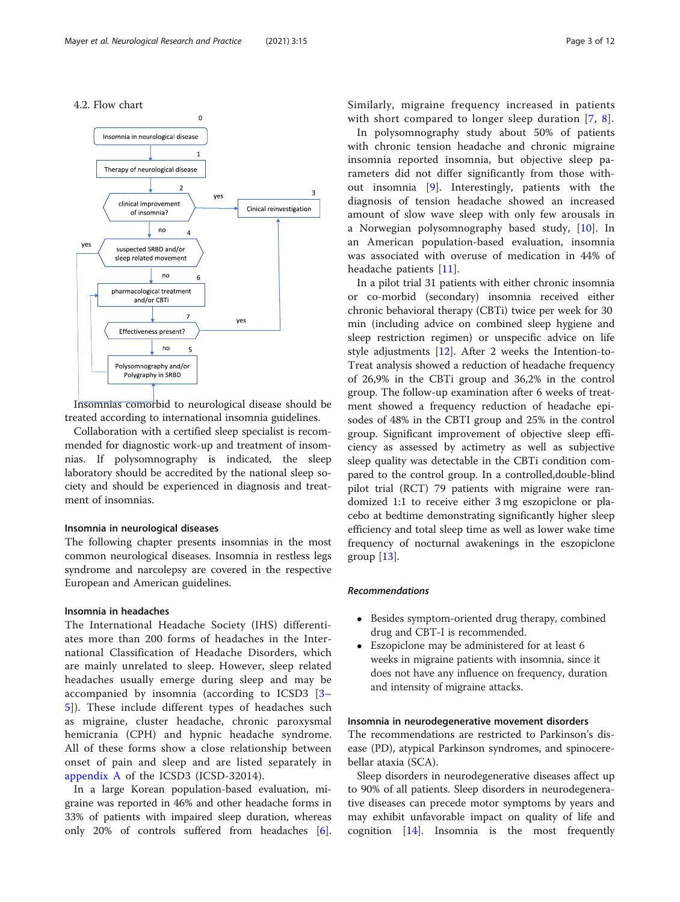

Insomnias comorbid to neurological disease should be treated according to international insomnia guidelines.

Collaboration with a certified sleep specialist is recommended for diagnostic work-up and treatment of insomnias. If polysomnography is indicated, the sleep laboratory should be accredited by the national sleep society and should be experienced in diagnosis and treatment of insomnias.

#### Insomnia in neurological diseases

The following chapter presents insomnias in the most common neurological diseases. Insomnia in restless legs syndrome and narcolepsy are covered in the respective European and American guidelines.

# Insomnia in headaches

The International Headache Society (IHS) differentiates more than 200 forms of headaches in the International Classification of Headache Disorders, which are mainly unrelated to sleep. However, sleep related headaches usually emerge during sleep and may be accompanied by insomnia (according to ICSD3 [[3](#page-9-0)– [5\]](#page-9-0)). These include different types of headaches such as migraine, cluster headache, chronic paroxysmal hemicrania (CPH) and hypnic headache syndrome. All of these forms show a close relationship between onset of pain and sleep and are listed separately in [appendix A](#page-8-0) of the ICSD3 (ICSD-32014).

In a large Korean population-based evaluation, migraine was reported in 46% and other headache forms in 33% of patients with impaired sleep duration, whereas only 20% of controls suffered from headaches [\[6](#page-9-0)]. Similarly, migraine frequency increased in patients with short compared to longer sleep duration [[7,](#page-9-0) [8](#page-9-0)].

In polysomnography study about 50% of patients with chronic tension headache and chronic migraine insomnia reported insomnia, but objective sleep parameters did not differ significantly from those without insomnia [[9\]](#page-9-0). Interestingly, patients with the diagnosis of tension headache showed an increased amount of slow wave sleep with only few arousals in a Norwegian polysomnography based study, [[10\]](#page-9-0). In an American population-based evaluation, insomnia was associated with overuse of medication in 44% of headache patients [\[11](#page-9-0)].

In a pilot trial 31 patients with either chronic insomnia or co-morbid (secondary) insomnia received either chronic behavioral therapy (CBTi) twice per week for 30 min (including advice on combined sleep hygiene and sleep restriction regimen) or unspecific advice on life style adjustments  $[12]$  $[12]$ . After 2 weeks the Intention-to-Treat analysis showed a reduction of headache frequency of 26,9% in the CBTi group and 36,2% in the control group. The follow-up examination after 6 weeks of treatment showed a frequency reduction of headache episodes of 48% in the CBTI group and 25% in the control group. Significant improvement of objective sleep efficiency as assessed by actimetry as well as subjective sleep quality was detectable in the CBTi condition compared to the control group. In a controlled,double-blind pilot trial (RCT) 79 patients with migraine were randomized 1:1 to receive either 3 mg eszopiclone or placebo at bedtime demonstrating significantly higher sleep efficiency and total sleep time as well as lower wake time frequency of nocturnal awakenings in the eszopiclone group  $[13]$  $[13]$ .

#### Recommendations

- Besides symptom-oriented drug therapy, combined drug and CBT-I is recommended.
- Eszopiclone may be administered for at least 6 weeks in migraine patients with insomnia, since it does not have any influence on frequency, duration and intensity of migraine attacks.

# Insomnia in neurodegenerative movement disorders

The recommendations are restricted to Parkinson's disease (PD), atypical Parkinson syndromes, and spinocerebellar ataxia (SCA).

Sleep disorders in neurodegenerative diseases affect up to 90% of all patients. Sleep disorders in neurodegenerative diseases can precede motor symptoms by years and may exhibit unfavorable impact on quality of life and cognition [\[14\]](#page-9-0). Insomnia is the most frequently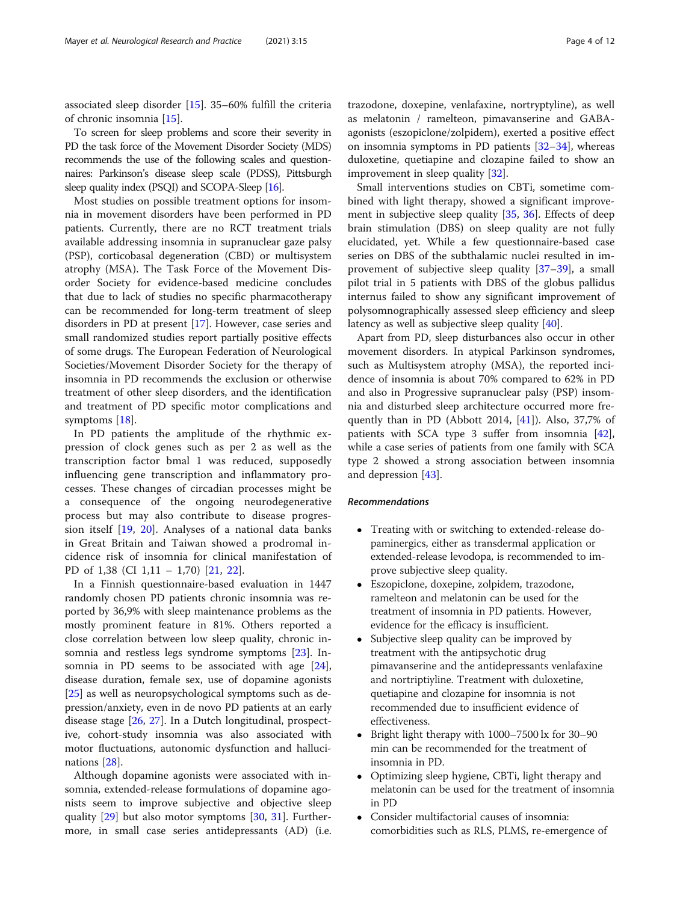associated sleep disorder [[15\]](#page-9-0). 35–60% fulfill the criteria of chronic insomnia [[15\]](#page-9-0).

To screen for sleep problems and score their severity in PD the task force of the Movement Disorder Society (MDS) recommends the use of the following scales and questionnaires: Parkinson's disease sleep scale (PDSS), Pittsburgh sleep quality index (PSQI) and SCOPA-Sleep [\[16](#page-9-0)].

Most studies on possible treatment options for insomnia in movement disorders have been performed in PD patients. Currently, there are no RCT treatment trials available addressing insomnia in supranuclear gaze palsy (PSP), corticobasal degeneration (CBD) or multisystem atrophy (MSA). The Task Force of the Movement Disorder Society for evidence-based medicine concludes that due to lack of studies no specific pharmacotherapy can be recommended for long-term treatment of sleep disorders in PD at present [\[17](#page-9-0)]. However, case series and small randomized studies report partially positive effects of some drugs. The European Federation of Neurological Societies/Movement Disorder Society for the therapy of insomnia in PD recommends the exclusion or otherwise treatment of other sleep disorders, and the identification and treatment of PD specific motor complications and symptoms [[18](#page-9-0)].

In PD patients the amplitude of the rhythmic expression of clock genes such as per 2 as well as the transcription factor bmal 1 was reduced, supposedly influencing gene transcription and inflammatory processes. These changes of circadian processes might be a consequence of the ongoing neurodegenerative process but may also contribute to disease progression itself [\[19](#page-9-0), [20](#page-9-0)]. Analyses of a national data banks in Great Britain and Taiwan showed a prodromal incidence risk of insomnia for clinical manifestation of PD of 1,38 (CI 1,11 – 1,70) [[21,](#page-9-0) [22\]](#page-9-0).

In a Finnish questionnaire-based evaluation in 1447 randomly chosen PD patients chronic insomnia was reported by 36,9% with sleep maintenance problems as the mostly prominent feature in 81%. Others reported a close correlation between low sleep quality, chronic insomnia and restless legs syndrome symptoms [[23](#page-9-0)]. Insomnia in PD seems to be associated with age [\[24](#page-9-0)], disease duration, female sex, use of dopamine agonists [[25\]](#page-9-0) as well as neuropsychological symptoms such as depression/anxiety, even in de novo PD patients at an early disease stage [\[26](#page-9-0), [27\]](#page-9-0). In a Dutch longitudinal, prospective, cohort-study insomnia was also associated with motor fluctuations, autonomic dysfunction and hallucinations [[28\]](#page-9-0).

Although dopamine agonists were associated with insomnia, extended-release formulations of dopamine agonists seem to improve subjective and objective sleep quality [\[29\]](#page-9-0) but also motor symptoms [[30,](#page-9-0) [31](#page-9-0)]. Furthermore, in small case series antidepressants (AD) (i.e.

trazodone, doxepine, venlafaxine, nortryptyline), as well as melatonin / ramelteon, pimavanserine and GABAagonists (eszopiclone/zolpidem), exerted a positive effect on insomnia symptoms in PD patients  $[32-34]$  $[32-34]$  $[32-34]$ , whereas duloxetine, quetiapine and clozapine failed to show an improvement in sleep quality [\[32](#page-9-0)].

Small interventions studies on CBTi, sometime combined with light therapy, showed a significant improvement in subjective sleep quality [[35,](#page-9-0) [36](#page-10-0)]. Effects of deep brain stimulation (DBS) on sleep quality are not fully elucidated, yet. While a few questionnaire-based case series on DBS of the subthalamic nuclei resulted in improvement of subjective sleep quality [\[37](#page-10-0)–[39\]](#page-10-0), a small pilot trial in 5 patients with DBS of the globus pallidus internus failed to show any significant improvement of polysomnographically assessed sleep efficiency and sleep latency as well as subjective sleep quality [[40\]](#page-10-0).

Apart from PD, sleep disturbances also occur in other movement disorders. In atypical Parkinson syndromes, such as Multisystem atrophy (MSA), the reported incidence of insomnia is about 70% compared to 62% in PD and also in Progressive supranuclear palsy (PSP) insomnia and disturbed sleep architecture occurred more frequently than in PD (Abbott 2014, [[41](#page-10-0)]). Also, 37,7% of patients with SCA type 3 suffer from insomnia [\[42](#page-10-0)], while a case series of patients from one family with SCA type 2 showed a strong association between insomnia and depression [\[43](#page-10-0)].

#### Recommendations

- Treating with or switching to extended-release dopaminergics, either as transdermal application or extended-release levodopa, is recommended to improve subjective sleep quality.
- Eszopiclone, doxepine, zolpidem, trazodone, ramelteon and melatonin can be used for the treatment of insomnia in PD patients. However, evidence for the efficacy is insufficient.
- Subjective sleep quality can be improved by treatment with the antipsychotic drug pimavanserine and the antidepressants venlafaxine and nortriptiyline. Treatment with duloxetine, quetiapine and clozapine for insomnia is not recommended due to insufficient evidence of effectiveness.
- Bright light therapy with 1000–7500 lx for 30–90 min can be recommended for the treatment of insomnia in PD.
- Optimizing sleep hygiene, CBTi, light therapy and melatonin can be used for the treatment of insomnia in PD
- Consider multifactorial causes of insomnia: comorbidities such as RLS, PLMS, re-emergence of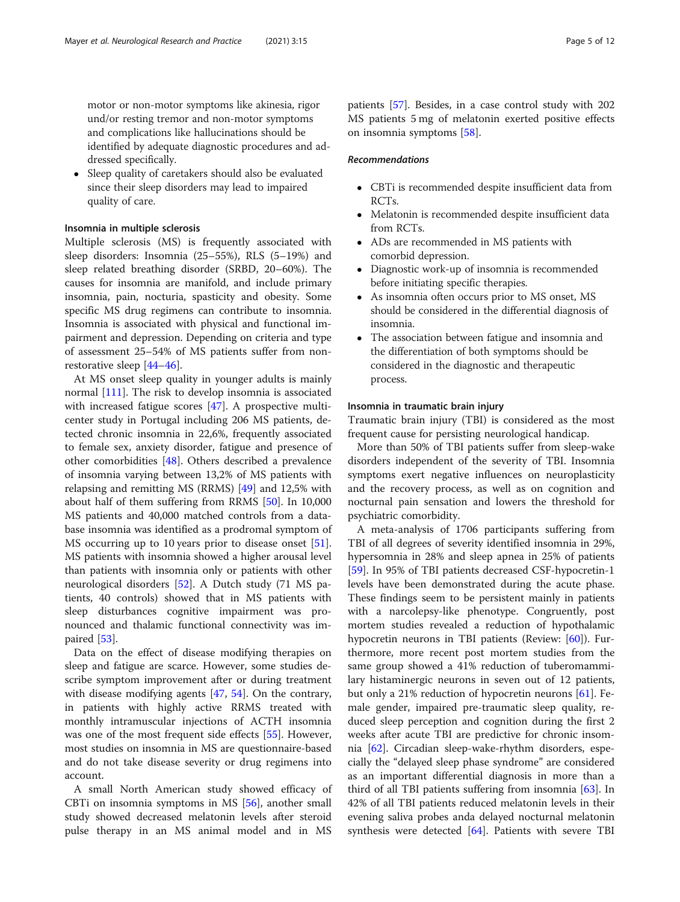motor or non-motor symptoms like akinesia, rigor und/or resting tremor and non-motor symptoms and complications like hallucinations should be identified by adequate diagnostic procedures and addressed specifically.

• Sleep quality of caretakers should also be evaluated since their sleep disorders may lead to impaired quality of care.

# Insomnia in multiple sclerosis

Multiple sclerosis (MS) is frequently associated with sleep disorders: Insomnia (25–55%), RLS (5–19%) and sleep related breathing disorder (SRBD, 20–60%). The causes for insomnia are manifold, and include primary insomnia, pain, nocturia, spasticity and obesity. Some specific MS drug regimens can contribute to insomnia. Insomnia is associated with physical and functional impairment and depression. Depending on criteria and type of assessment 25–54% of MS patients suffer from nonrestorative sleep [[44](#page-10-0)–[46](#page-10-0)].

At MS onset sleep quality in younger adults is mainly normal [\[111](#page-11-0)]. The risk to develop insomnia is associated with increased fatigue scores [[47](#page-10-0)]. A prospective multicenter study in Portugal including 206 MS patients, detected chronic insomnia in 22,6%, frequently associated to female sex, anxiety disorder, fatigue and presence of other comorbidities [\[48](#page-10-0)]. Others described a prevalence of insomnia varying between 13,2% of MS patients with relapsing and remitting MS (RRMS) [[49](#page-10-0)] and 12,5% with about half of them suffering from RRMS [\[50\]](#page-10-0). In 10,000 MS patients and 40,000 matched controls from a database insomnia was identified as a prodromal symptom of MS occurring up to 10 years prior to disease onset [\[51](#page-10-0)]. MS patients with insomnia showed a higher arousal level than patients with insomnia only or patients with other neurological disorders [[52\]](#page-10-0). A Dutch study (71 MS patients, 40 controls) showed that in MS patients with sleep disturbances cognitive impairment was pronounced and thalamic functional connectivity was impaired [\[53](#page-10-0)].

Data on the effect of disease modifying therapies on sleep and fatigue are scarce. However, some studies describe symptom improvement after or during treatment with disease modifying agents  $[47, 54]$  $[47, 54]$  $[47, 54]$  $[47, 54]$ . On the contrary, in patients with highly active RRMS treated with monthly intramuscular injections of ACTH insomnia was one of the most frequent side effects [\[55](#page-10-0)]. However, most studies on insomnia in MS are questionnaire-based and do not take disease severity or drug regimens into account.

A small North American study showed efficacy of CBTi on insomnia symptoms in MS [\[56\]](#page-10-0), another small study showed decreased melatonin levels after steroid pulse therapy in an MS animal model and in MS patients [\[57](#page-10-0)]. Besides, in a case control study with 202 MS patients 5 mg of melatonin exerted positive effects on insomnia symptoms [\[58](#page-10-0)].

# Recommendations

- CBTi is recommended despite insufficient data from RCTs.
- Melatonin is recommended despite insufficient data from RCTs.
- ADs are recommended in MS patients with comorbid depression.
- Diagnostic work-up of insomnia is recommended before initiating specific therapies.
- As insomnia often occurs prior to MS onset, MS should be considered in the differential diagnosis of insomnia.
- The association between fatigue and insomnia and the differentiation of both symptoms should be considered in the diagnostic and therapeutic process.

#### Insomnia in traumatic brain injury

Traumatic brain injury (TBI) is considered as the most frequent cause for persisting neurological handicap.

More than 50% of TBI patients suffer from sleep-wake disorders independent of the severity of TBI. Insomnia symptoms exert negative influences on neuroplasticity and the recovery process, as well as on cognition and nocturnal pain sensation and lowers the threshold for psychiatric comorbidity.

A meta-analysis of 1706 participants suffering from TBI of all degrees of severity identified insomnia in 29%, hypersomnia in 28% and sleep apnea in 25% of patients [[59\]](#page-10-0). In 95% of TBI patients decreased CSF-hypocretin-1 levels have been demonstrated during the acute phase. These findings seem to be persistent mainly in patients with a narcolepsy-like phenotype. Congruently, post mortem studies revealed a reduction of hypothalamic hypocretin neurons in TBI patients (Review: [[60](#page-10-0)]). Furthermore, more recent post mortem studies from the same group showed a 41% reduction of tuberomammilary histaminergic neurons in seven out of 12 patients, but only a 21% reduction of hypocretin neurons [\[61](#page-10-0)]. Female gender, impaired pre-traumatic sleep quality, reduced sleep perception and cognition during the first 2 weeks after acute TBI are predictive for chronic insomnia [\[62](#page-10-0)]. Circadian sleep-wake-rhythm disorders, especially the "delayed sleep phase syndrome" are considered as an important differential diagnosis in more than a third of all TBI patients suffering from insomnia [[63](#page-10-0)]. In 42% of all TBI patients reduced melatonin levels in their evening saliva probes anda delayed nocturnal melatonin synthesis were detected  $[64]$  $[64]$ . Patients with severe TBI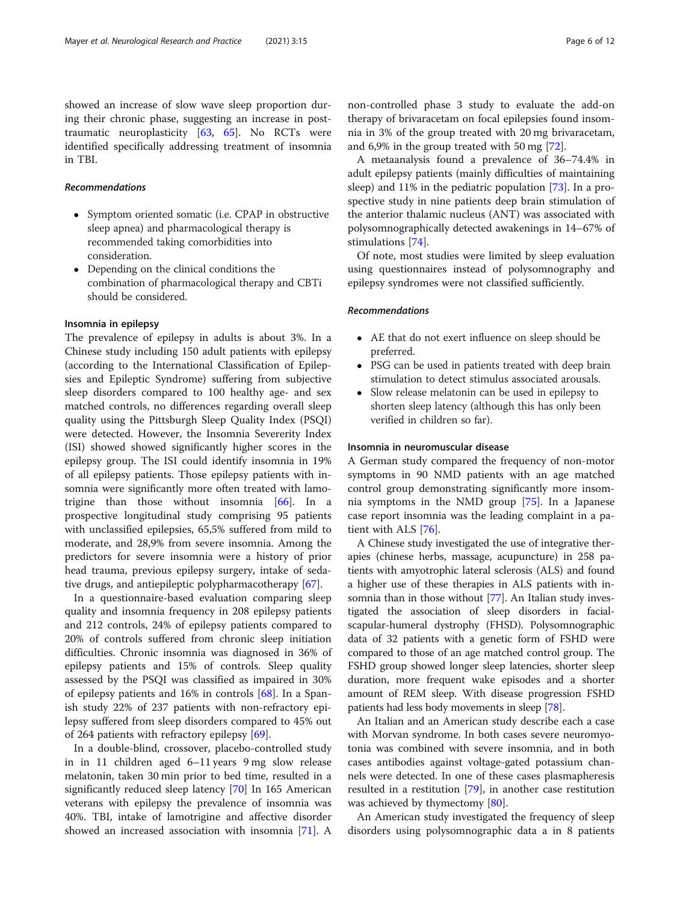showed an increase of slow wave sleep proportion during their chronic phase, suggesting an increase in posttraumatic neuroplasticity [[63](#page-10-0), [65\]](#page-10-0). No RCTs were identified specifically addressing treatment of insomnia in TBI.

# Recommendations

- Symptom oriented somatic (i.e. CPAP in obstructive sleep apnea) and pharmacological therapy is recommended taking comorbidities into consideration.
- Depending on the clinical conditions the combination of pharmacological therapy and CBTi should be considered.

### Insomnia in epilepsy

The prevalence of epilepsy in adults is about 3%. In a Chinese study including 150 adult patients with epilepsy (according to the International Classification of Epilepsies and Epileptic Syndrome) suffering from subjective sleep disorders compared to 100 healthy age- and sex matched controls, no differences regarding overall sleep quality using the Pittsburgh Sleep Quality Index (PSQI) were detected. However, the Insomnia Severerity Index (ISI) showed showed significantly higher scores in the epilepsy group. The ISI could identify insomnia in 19% of all epilepsy patients. Those epilepsy patients with insomnia were significantly more often treated with lamotrigine than those without insomnia [\[66](#page-10-0)]. In a prospective longitudinal study comprising 95 patients with unclassified epilepsies, 65,5% suffered from mild to moderate, and 28,9% from severe insomnia. Among the predictors for severe insomnia were a history of prior head trauma, previous epilepsy surgery, intake of sedative drugs, and antiepileptic polypharmacotherapy [[67](#page-10-0)].

In a questionnaire-based evaluation comparing sleep quality and insomnia frequency in 208 epilepsy patients and 212 controls, 24% of epilepsy patients compared to 20% of controls suffered from chronic sleep initiation difficulties. Chronic insomnia was diagnosed in 36% of epilepsy patients and 15% of controls. Sleep quality assessed by the PSQI was classified as impaired in 30% of epilepsy patients and 16% in controls [[68\]](#page-10-0). In a Spanish study 22% of 237 patients with non-refractory epilepsy suffered from sleep disorders compared to 45% out of 264 patients with refractory epilepsy [[69](#page-10-0)].

In a double-blind, crossover, placebo-controlled study in in 11 children aged 6–11 years 9 mg slow release melatonin, taken 30 min prior to bed time, resulted in a significantly reduced sleep latency [[70\]](#page-10-0) In 165 American veterans with epilepsy the prevalence of insomnia was 40%. TBI, intake of lamotrigine and affective disorder showed an increased association with insomnia [\[71\]](#page-10-0). A non-controlled phase 3 study to evaluate the add-on therapy of brivaracetam on focal epilepsies found insomnia in 3% of the group treated with 20 mg brivaracetam, and 6,9% in the group treated with 50 mg [\[72\]](#page-10-0).

A metaanalysis found a prevalence of 36–74.4% in adult epilepsy patients (mainly difficulties of maintaining sleep) and 11% in the pediatric population [\[73\]](#page-10-0). In a prospective study in nine patients deep brain stimulation of the anterior thalamic nucleus (ANT) was associated with polysomnographically detected awakenings in 14–67% of stimulations [[74\]](#page-10-0).

Of note, most studies were limited by sleep evaluation using questionnaires instead of polysomnography and epilepsy syndromes were not classified sufficiently.

# Recommendations

- AE that do not exert influence on sleep should be preferred.
- PSG can be used in patients treated with deep brain stimulation to detect stimulus associated arousals.
- Slow release melatonin can be used in epilepsy to shorten sleep latency (although this has only been verified in children so far).

### Insomnia in neuromuscular disease

A German study compared the frequency of non-motor symptoms in 90 NMD patients with an age matched control group demonstrating significantly more insomnia symptoms in the NMD group [\[75](#page-10-0)]. In a Japanese case report insomnia was the leading complaint in a patient with ALS [[76\]](#page-10-0).

A Chinese study investigated the use of integrative therapies (chinese herbs, massage, acupuncture) in 258 patients with amyotrophic lateral sclerosis (ALS) and found a higher use of these therapies in ALS patients with insomnia than in those without [\[77](#page-10-0)]. An Italian study investigated the association of sleep disorders in facialscapular-humeral dystrophy (FHSD). Polysomnographic data of 32 patients with a genetic form of FSHD were compared to those of an age matched control group. The FSHD group showed longer sleep latencies, shorter sleep duration, more frequent wake episodes and a shorter amount of REM sleep. With disease progression FSHD patients had less body movements in sleep [\[78\]](#page-10-0).

An Italian and an American study describe each a case with Morvan syndrome. In both cases severe neuromyotonia was combined with severe insomnia, and in both cases antibodies against voltage-gated potassium channels were detected. In one of these cases plasmapheresis resulted in a restitution [[79\]](#page-10-0), in another case restitution was achieved by thymectomy [\[80\]](#page-11-0).

An American study investigated the frequency of sleep disorders using polysomnographic data a in 8 patients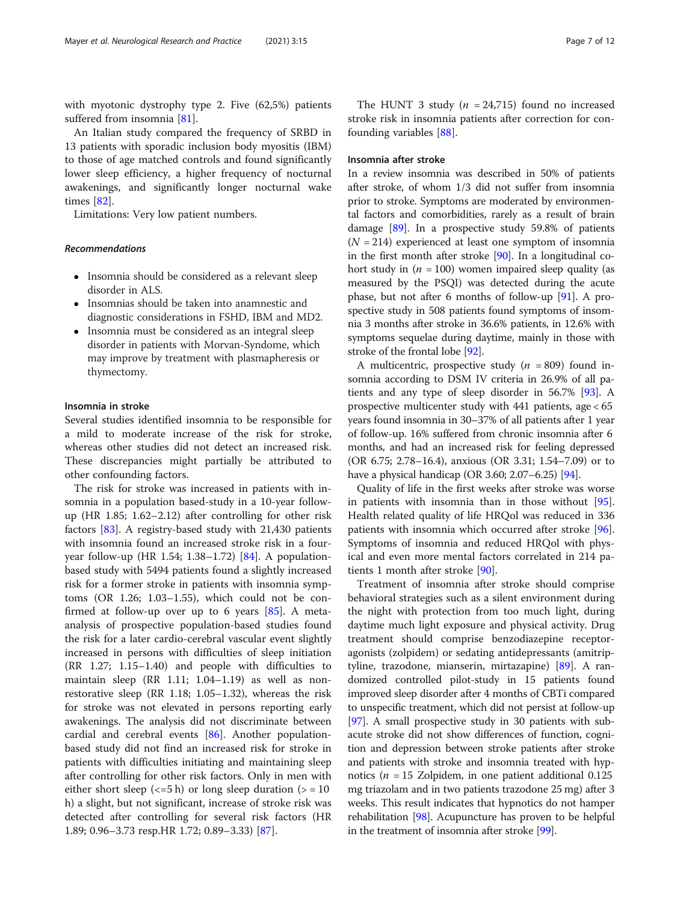with myotonic dystrophy type 2. Five (62,5%) patients suffered from insomnia [\[81](#page-11-0)].

An Italian study compared the frequency of SRBD in 13 patients with sporadic inclusion body myositis (IBM) to those of age matched controls and found significantly lower sleep efficiency, a higher frequency of nocturnal awakenings, and significantly longer nocturnal wake times [[82\]](#page-11-0).

Limitations: Very low patient numbers.

#### Recommendations

- Insomnia should be considered as a relevant sleep disorder in ALS.
- Insomnias should be taken into anamnestic and diagnostic considerations in FSHD, IBM and MD2.
- Insomnia must be considered as an integral sleep disorder in patients with Morvan-Syndome, which may improve by treatment with plasmapheresis or thymectomy.

#### Insomnia in stroke

Several studies identified insomnia to be responsible for a mild to moderate increase of the risk for stroke, whereas other studies did not detect an increased risk. These discrepancies might partially be attributed to other confounding factors.

The risk for stroke was increased in patients with insomnia in a population based-study in a 10-year followup (HR 1.85; 1.62–2.12) after controlling for other risk factors [[83\]](#page-11-0). A registry-based study with 21,430 patients with insomnia found an increased stroke risk in a fouryear follow-up (HR 1.54; 1.38–1.72) [\[84](#page-11-0)]. A populationbased study with 5494 patients found a slightly increased risk for a former stroke in patients with insomnia symptoms (OR 1.26; 1.03–1.55), which could not be confirmed at follow-up over up to 6 years  $[85]$  $[85]$ . A metaanalysis of prospective population-based studies found the risk for a later cardio-cerebral vascular event slightly increased in persons with difficulties of sleep initiation (RR 1.27; 1.15–1.40) and people with difficulties to maintain sleep (RR 1.11; 1.04–1.19) as well as nonrestorative sleep (RR 1.18; 1.05–1.32), whereas the risk for stroke was not elevated in persons reporting early awakenings. The analysis did not discriminate between cardial and cerebral events [[86](#page-11-0)]. Another populationbased study did not find an increased risk for stroke in patients with difficulties initiating and maintaining sleep after controlling for other risk factors. Only in men with either short sleep  $\left\langle \epsilon = 5 \right\rangle$  or long sleep duration  $\left( \epsilon = 10 \right)$ h) a slight, but not significant, increase of stroke risk was detected after controlling for several risk factors (HR 1.89; 0.96–3.73 resp.HR 1.72; 0.89–3.33) [[87\]](#page-11-0).

The HUNT 3 study ( $n = 24,715$ ) found no increased stroke risk in insomnia patients after correction for confounding variables [[88\]](#page-11-0).

### Insomnia after stroke

In a review insomnia was described in 50% of patients after stroke, of whom 1/3 did not suffer from insomnia prior to stroke. Symptoms are moderated by environmental factors and comorbidities, rarely as a result of brain damage [[89\]](#page-11-0). In a prospective study 59.8% of patients  $(N = 214)$  experienced at least one symptom of insomnia in the first month after stroke [\[90\]](#page-11-0). In a longitudinal cohort study in  $(n = 100)$  women impaired sleep quality (as measured by the PSQI) was detected during the acute phase, but not after 6 months of follow-up [\[91](#page-11-0)]. A prospective study in 508 patients found symptoms of insomnia 3 months after stroke in 36.6% patients, in 12.6% with symptoms sequelae during daytime, mainly in those with stroke of the frontal lobe [\[92\]](#page-11-0).

A multicentric, prospective study ( $n = 809$ ) found insomnia according to DSM IV criteria in 26.9% of all patients and any type of sleep disorder in 56.7% [[93\]](#page-11-0). A prospective multicenter study with 441 patients, age < 65 years found insomnia in 30–37% of all patients after 1 year of follow-up. 16% suffered from chronic insomnia after 6 months, and had an increased risk for feeling depressed (OR 6.75; 2.78–16.4), anxious (OR 3.31; 1.54–7.09) or to have a physical handicap (OR 3.60; 2.07–6.25) [\[94\]](#page-11-0).

Quality of life in the first weeks after stroke was worse in patients with insomnia than in those without [\[95](#page-11-0)]. Health related quality of life HRQol was reduced in 336 patients with insomnia which occurred after stroke [\[96](#page-11-0)]. Symptoms of insomnia and reduced HRQol with physical and even more mental factors correlated in 214 patients 1 month after stroke [[90\]](#page-11-0).

Treatment of insomnia after stroke should comprise behavioral strategies such as a silent environment during the night with protection from too much light, during daytime much light exposure and physical activity. Drug treatment should comprise benzodiazepine receptoragonists (zolpidem) or sedating antidepressants (amitriptyline, trazodone, mianserin, mirtazapine) [[89\]](#page-11-0). A randomized controlled pilot-study in 15 patients found improved sleep disorder after 4 months of CBTi compared to unspecific treatment, which did not persist at follow-up [[97](#page-11-0)]. A small prospective study in 30 patients with subacute stroke did not show differences of function, cognition and depression between stroke patients after stroke and patients with stroke and insomnia treated with hypnotics ( $n = 15$  Zolpidem, in one patient additional 0.125 mg triazolam and in two patients trazodone 25 mg) after 3 weeks. This result indicates that hypnotics do not hamper rehabilitation [\[98](#page-11-0)]. Acupuncture has proven to be helpful in the treatment of insomnia after stroke [\[99\]](#page-11-0).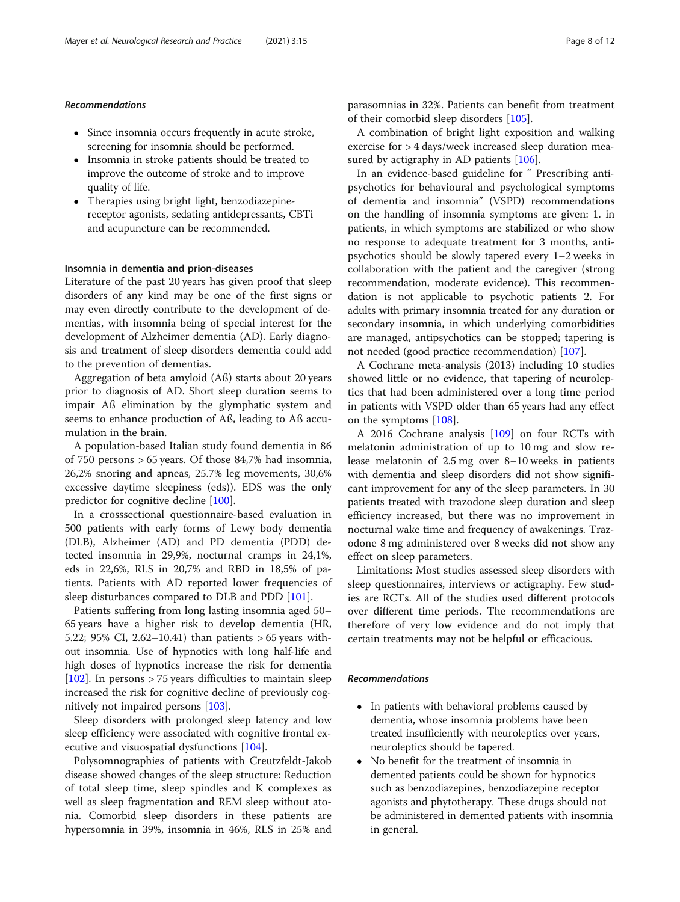# Recommendations

- Since insomnia occurs frequently in acute stroke, screening for insomnia should be performed.
- Insomnia in stroke patients should be treated to improve the outcome of stroke and to improve quality of life.
- Therapies using bright light, benzodiazepinereceptor agonists, sedating antidepressants, CBTi and acupuncture can be recommended.

#### Insomnia in dementia and prion-diseases

Literature of the past 20 years has given proof that sleep disorders of any kind may be one of the first signs or may even directly contribute to the development of dementias, with insomnia being of special interest for the development of Alzheimer dementia (AD). Early diagnosis and treatment of sleep disorders dementia could add to the prevention of dementias.

Aggregation of beta amyloid (Aß) starts about 20 years prior to diagnosis of AD. Short sleep duration seems to impair Aß elimination by the glymphatic system and seems to enhance production of Aß, leading to Aß accumulation in the brain.

A population-based Italian study found dementia in 86 of 750 persons > 65 years. Of those 84,7% had insomnia, 26,2% snoring and apneas, 25.7% leg movements, 30,6% excessive daytime sleepiness (eds)). EDS was the only predictor for cognitive decline [\[100](#page-11-0)].

In a crosssectional questionnaire-based evaluation in 500 patients with early forms of Lewy body dementia (DLB), Alzheimer (AD) and PD dementia (PDD) detected insomnia in 29,9%, nocturnal cramps in 24,1%, eds in 22,6%, RLS in 20,7% and RBD in 18,5% of patients. Patients with AD reported lower frequencies of sleep disturbances compared to DLB and PDD [\[101](#page-11-0)].

Patients suffering from long lasting insomnia aged 50– 65 years have a higher risk to develop dementia (HR, 5.22; 95% CI, 2.62–10.41) than patients > 65 years without insomnia. Use of hypnotics with long half-life and high doses of hypnotics increase the risk for dementia [ $102$ ]. In persons > 75 years difficulties to maintain sleep increased the risk for cognitive decline of previously cognitively not impaired persons [\[103](#page-11-0)].

Sleep disorders with prolonged sleep latency and low sleep efficiency were associated with cognitive frontal executive and visuospatial dysfunctions [\[104\]](#page-11-0).

Polysomnographies of patients with Creutzfeldt-Jakob disease showed changes of the sleep structure: Reduction of total sleep time, sleep spindles and K complexes as well as sleep fragmentation and REM sleep without atonia. Comorbid sleep disorders in these patients are hypersomnia in 39%, insomnia in 46%, RLS in 25% and parasomnias in 32%. Patients can benefit from treatment of their comorbid sleep disorders [[105\]](#page-11-0).

A combination of bright light exposition and walking exercise for > 4 days/week increased sleep duration mea-sured by actigraphy in AD patients [[106\]](#page-11-0).

In an evidence-based guideline for " Prescribing antipsychotics for behavioural and psychological symptoms of dementia and insomnia" (VSPD) recommendations on the handling of insomnia symptoms are given: 1. in patients, in which symptoms are stabilized or who show no response to adequate treatment for 3 months, antipsychotics should be slowly tapered every 1–2 weeks in collaboration with the patient and the caregiver (strong recommendation, moderate evidence). This recommendation is not applicable to psychotic patients 2. For adults with primary insomnia treated for any duration or secondary insomnia, in which underlying comorbidities are managed, antipsychotics can be stopped; tapering is not needed (good practice recommendation) [[107](#page-11-0)].

A Cochrane meta-analysis (2013) including 10 studies showed little or no evidence, that tapering of neuroleptics that had been administered over a long time period in patients with VSPD older than 65 years had any effect on the symptoms [[108\]](#page-11-0).

A 2016 Cochrane analysis [[109](#page-11-0)] on four RCTs with melatonin administration of up to 10 mg and slow release melatonin of 2.5 mg over 8–10 weeks in patients with dementia and sleep disorders did not show significant improvement for any of the sleep parameters. In 30 patients treated with trazodone sleep duration and sleep efficiency increased, but there was no improvement in nocturnal wake time and frequency of awakenings. Trazodone 8 mg administered over 8 weeks did not show any effect on sleep parameters.

Limitations: Most studies assessed sleep disorders with sleep questionnaires, interviews or actigraphy. Few studies are RCTs. All of the studies used different protocols over different time periods. The recommendations are therefore of very low evidence and do not imply that certain treatments may not be helpful or efficacious.

#### Recommendations

- In patients with behavioral problems caused by dementia, whose insomnia problems have been treated insufficiently with neuroleptics over years, neuroleptics should be tapered.
- No benefit for the treatment of insomnia in demented patients could be shown for hypnotics such as benzodiazepines, benzodiazepine receptor agonists and phytotherapy. These drugs should not be administered in demented patients with insomnia in general.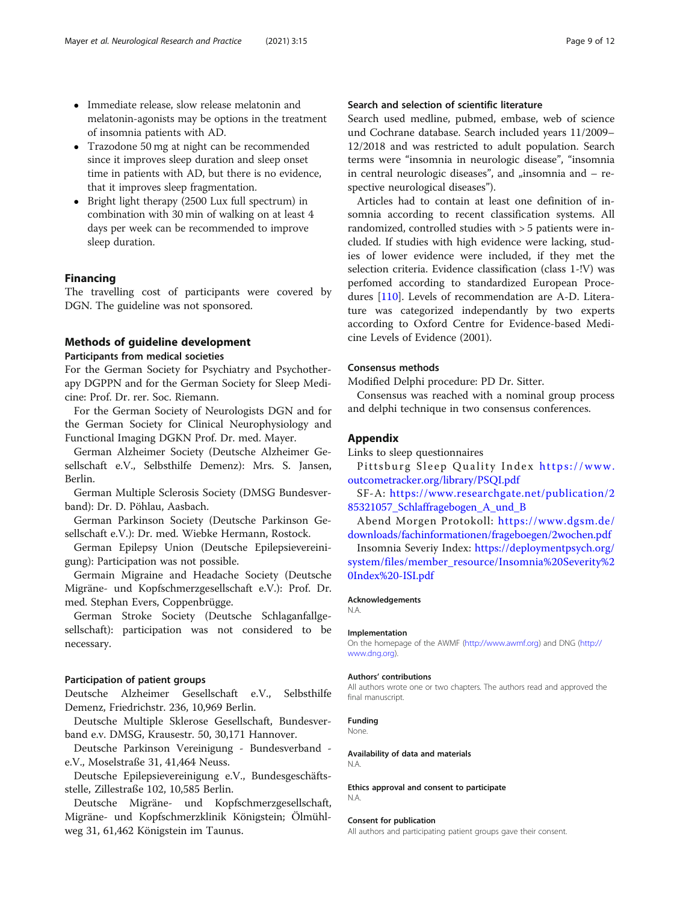- <span id="page-8-0"></span> Immediate release, slow release melatonin and melatonin-agonists may be options in the treatment of insomnia patients with AD.
- Trazodone 50 mg at night can be recommended since it improves sleep duration and sleep onset time in patients with AD, but there is no evidence, that it improves sleep fragmentation.
- Bright light therapy (2500 Lux full spectrum) in combination with 30 min of walking on at least 4 days per week can be recommended to improve sleep duration.

# Financing

The travelling cost of participants were covered by DGN. The guideline was not sponsored.

# Methods of guideline development

Participants from medical societies

For the German Society for Psychiatry and Psychotherapy DGPPN and for the German Society for Sleep Medicine: Prof. Dr. rer. Soc. Riemann.

For the German Society of Neurologists DGN and for the German Society for Clinical Neurophysiology and Functional Imaging DGKN Prof. Dr. med. Mayer.

German Alzheimer Society (Deutsche Alzheimer Gesellschaft e.V., Selbsthilfe Demenz): Mrs. S. Jansen, Berlin.

German Multiple Sclerosis Society (DMSG Bundesverband): Dr. D. Pöhlau, Aasbach.

German Parkinson Society (Deutsche Parkinson Gesellschaft e.V.): Dr. med. Wiebke Hermann, Rostock.

German Epilepsy Union (Deutsche Epilepsievereinigung): Participation was not possible.

Germain Migraine and Headache Society (Deutsche Migräne- und Kopfschmerzgesellschaft e.V.): Prof. Dr. med. Stephan Evers, Coppenbrügge.

German Stroke Society (Deutsche Schlaganfallgesellschaft): participation was not considered to be necessary.

### Participation of patient groups

Deutsche Alzheimer Gesellschaft e.V., Selbsthilfe Demenz, Friedrichstr. 236, 10,969 Berlin.

Deutsche Multiple Sklerose Gesellschaft, Bundesverband e.v. DMSG, Krausestr. 50, 30,171 Hannover.

Deutsche Parkinson Vereinigung - Bundesverband e.V., Moselstraße 31, 41,464 Neuss.

Deutsche Epilepsievereinigung e.V., Bundesgeschäftsstelle, Zillestraße 102, 10,585 Berlin.

Deutsche Migräne- und Kopfschmerzgesellschaft, Migräne- und Kopfschmerzklinik Königstein; Ölmühlweg 31, 61,462 Königstein im Taunus.

# Search and selection of scientific literature

Search used medline, pubmed, embase, web of science und Cochrane database. Search included years 11/2009– 12/2018 and was restricted to adult population. Search terms were "insomnia in neurologic disease", "insomnia in central neurologic diseases", and  $\mu$ insomnia and  $-$  respective neurological diseases").

Articles had to contain at least one definition of insomnia according to recent classification systems. All randomized, controlled studies with > 5 patients were included. If studies with high evidence were lacking, studies of lower evidence were included, if they met the selection criteria. Evidence classification (class 1-!V) was perfomed according to standardized European Procedures [[110\]](#page-11-0). Levels of recommendation are A-D. Literature was categorized independantly by two experts according to Oxford Centre for Evidence-based Medicine Levels of Evidence (2001).

# Consensus methods

Modified Delphi procedure: PD Dr. Sitter.

Consensus was reached with a nominal group process and delphi technique in two consensus conferences.

#### Appendix

Links to sleep questionnaires

Pittsburg Sleep Quality Index [https://www.](https://www.outcometracker.org/library/PSQI.pdf) [outcometracker.org/library/PSQI.pdf](https://www.outcometracker.org/library/PSQI.pdf)

SF-A: [https://www.researchgate.net/publication/2](https://www.researchgate.net/publication/285321057_Schlaffragebogen_A_und_B) [85321057\\_Schlaffragebogen\\_A\\_und\\_B](https://www.researchgate.net/publication/285321057_Schlaffragebogen_A_und_B)

Abend Morgen Protokoll: [https://www.dgsm.de/](https://www.dgsm.de/downloads/fachinformationen/frageboegen/2wochen.pdf) [downloads/fachinformationen/frageboegen/2wochen.pdf](https://www.dgsm.de/downloads/fachinformationen/frageboegen/2wochen.pdf)

Insomnia Severiy Index: [https://deploymentpsych.org/](https://deploymentpsych.org/system/files/member_resource/Insomnia%20Severity%20Index%20-ISI.pdf) [system/files/member\\_resource/Insomnia%20Severity%2](https://deploymentpsych.org/system/files/member_resource/Insomnia%20Severity%20Index%20-ISI.pdf) [0Index%20-ISI.pdf](https://deploymentpsych.org/system/files/member_resource/Insomnia%20Severity%20Index%20-ISI.pdf)

#### Acknowledgements

N.A.

#### Implementation

On the homepage of the AWMF [\(http://www.awmf.org](http://www.awmf.org)) and DNG [\(http://](http://www.dng.org) [www.dng.org\)](http://www.dng.org).

#### Authors' contributions

All authors wrote one or two chapters. The authors read and approved the final manuscript.

### Funding

None.

#### Availability of data and materials N.A.

Ethics approval and consent to participate N.A.

#### Consent for publication

All authors and participating patient groups gave their consent.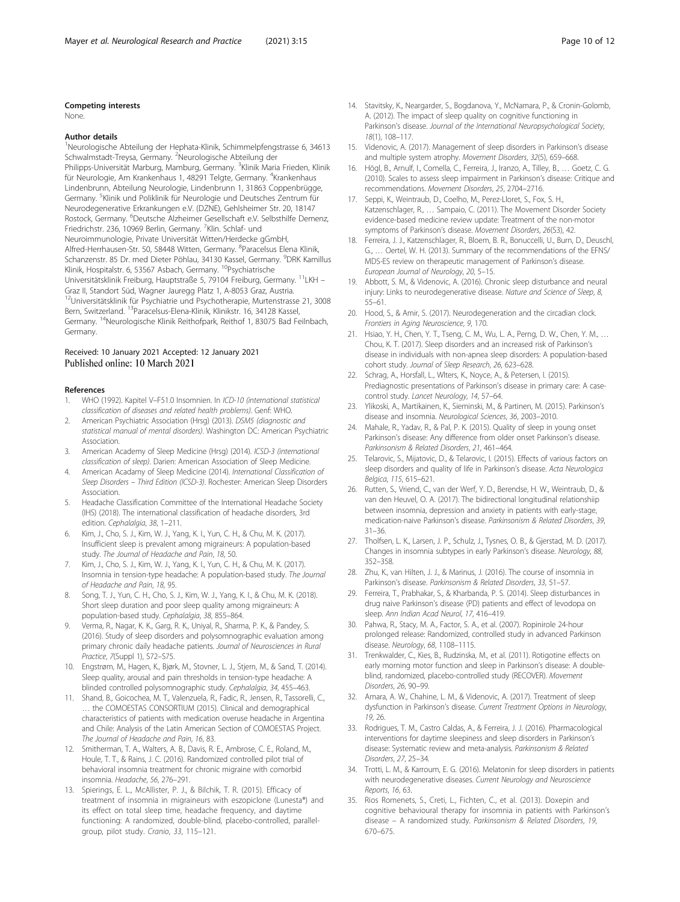#### <span id="page-9-0"></span>Competing interests

None.

#### Author details

1 Neurologische Abteilung der Hephata-Klinik, Schimmelpfengstrasse 6, 34613 Schwalmstadt-Treysa, Germany. <sup>2</sup>Neurologische Abteilung der Philipps-Universität Marburg, Mamburg, Germany. <sup>3</sup>Klinik Maria Frieden, Klinik für Neurologie, Am Krankenhaus 1, 48291 Telgte, Germany. <sup>4</sup>Krankenhaus Lindenbrunn, Abteilung Neurologie, Lindenbrunn 1, 31863 Coppenbrügge, Germany. <sup>5</sup>Klinik und Poliklinik für Neurologie und Deutsches Zentrum für Neurodegenerative Erkrankungen e.V. (DZNE), Gehlsheimer Str. 20, 18147 Rostock, Germany. <sup>6</sup>Deutsche Alzheimer Gesellschaft e.V. Selbsthilfe Demenz, Friedrichstr. 236, 10969 Berlin, Germany. <sup>7</sup>Klin. Schlaf- und Neuroimmunologie, Private Universität Witten/Herdecke gGmbH, Alfred-Herrhausen-Str. 50, 58448 Witten, Germany. <sup>8</sup>Paracelsus Elena Klinik, Schanzenstr. 85 Dr. med Dieter Pöhlau, 34130 Kassel, Germany. <sup>9</sup>DRK Kamillus Klinik, Hospitalstr. 6, 53567 Asbach, Germany. <sup>10</sup>Psychiatrische Universitätsklinik Freiburg, Hauptstraße 5, 79104 Freiburg, Germany. 11LKH – Graz II, Standort Süd, Wagner Jauregg Platz 1, A-8053 Graz, Austria. 12Universitätsklinik für Psychiatrie und Psychotherapie, Murtenstrasse 21, 3008 Bern, Switzerland. 13Paracelsus-Elena-Klinik, Klinikstr. 16, 34128 Kassel, Germany. 14Neurologische Klinik Reithofpark, Reithof 1, 83075 Bad Feilnbach, Germany.

#### Received: 10 January 2021 Accepted: 12 January 2021 Published online: 10 March 2021

#### References

- 1. WHO (1992). Kapitel V–F51.0 Insomnien. In ICD-10 (international statistical classification of diseases and related health problems). Genf: WHO.
- 2. American Psychiatric Association (Hrsg) (2013). DSM5 (diagnostic and statistical manual of mental disorders). Washington DC: American Psychiatric Association.
- 3. American Academy of Sleep Medicine (Hrsg) (2014). ICSD-3 (international classification of sleep). Darien: American Association of Sleep Medicine.
- 4. American Acadamy of Sleep Medicine (2014). International Classification of Sleep Disorders – Third Edition (ICSD-3). Rochester: American Sleep Disorders Association.
- 5. Headache Classification Committee of the International Headache Society (IHS) (2018). The international classification of headache disorders, 3rd edition. Cephalalgia, 38, 1–211.
- 6. Kim, J., Cho, S. J., Kim, W. J., Yang, K. I., Yun, C. H., & Chu, M. K. (2017). Insufficient sleep is prevalent among migraineurs: A population-based study. The Journal of Headache and Pain, 18, 50.
- 7. Kim, J., Cho, S. J., Kim, W. J., Yang, K. I., Yun, C. H., & Chu, M. K. (2017). Insomnia in tension-type headache: A population-based study. The Journal of Headache and Pain, 18, 95.
- Song, T. J., Yun, C. H., Cho, S. J., Kim, W. J., Yang, K. I., & Chu, M. K. (2018). Short sleep duration and poor sleep quality among migraineurs: A population-based study. Cephalalgia, 38, 855–864.
- 9. Verma, R., Nagar, K. K., Garg, R. K., Uniyal, R., Sharma, P. K., & Pandey, S. (2016). Study of sleep disorders and polysomnographic evaluation among primary chronic daily headache patients. Journal of Neurosciences in Rural Practice, 7(Suppl 1), S72–S75.
- 10. Engstrøm, M., Hagen, K., Bjørk, M., Stovner, L. J., Stjern, M., & Sand, T. (2014). Sleep quality, arousal and pain thresholds in tension-type headache: A blinded controlled polysomnographic study. Cephalalgia, 34, 455–463.
- 11. Shand, B., Goicochea, M. T., Valenzuela, R., Fadic, R., Jensen, R., Tassorelli, C., … the COMOESTAS CONSORTIUM (2015). Clinical and demographical characteristics of patients with medication overuse headache in Argentina and Chile: Analysis of the Latin American Section of COMOESTAS Project. The Journal of Headache and Pain, 16, 83.
- 12. Smitherman, T. A., Walters, A. B., Davis, R. E., Ambrose, C. E., Roland, M., Houle, T. T., & Rains, J. C. (2016). Randomized controlled pilot trial of behavioral insomnia treatment for chronic migraine with comorbid insomnia. Headache, 56, 276–291.
- 13. Spierings, E. L., McAllister, P. J., & Bilchik, T. R. (2015). Efficacy of treatment of insomnia in migraineurs with eszopiclone (Lunesta®) and its effect on total sleep time, headache frequency, and daytime functioning: A randomized, double-blind, placebo-controlled, parallelgroup, pilot study. Cranio, 33, 115–121.
- 14. Stavitsky, K., Neargarder, S., Bogdanova, Y., McNamara, P., & Cronin-Golomb, A. (2012). The impact of sleep quality on cognitive functioning in Parkinson's disease. Journal of the International Neuropsychological Society, 18(1), 108–117.
- 15. Videnovic, A. (2017). Management of sleep disorders in Parkinson's disease and multiple system atrophy. Movement Disorders, 32(5), 659–668.
- 16. Högl, B., Arnulf, I., Comella, C., Ferreira, J., Iranzo, A., Tilley, B., … Goetz, C. G. (2010). Scales to assess sleep impairment in Parkinson's disease: Critique and recommendations. Movement Disorders, 25, 2704–2716.
- 17. Seppi, K., Weintraub, D., Coelho, M., Perez-Lloret, S., Fox, S. H., Katzenschlager, R., … Sampaio, C. (2011). The Movement Disorder Society evidence-based medicine review update: Treatment of the non-motor symptoms of Parkinson's disease. Movement Disorders, 26(S3), 42.
- 18. Ferreira, J. J., Katzenschlager, R., Bloem, B. R., Bonuccelli, U., Burn, D., Deuschl, G., … Oertel, W. H. (2013). Summary of the recommendations of the EFNS/ MDS-ES review on therapeutic management of Parkinson's disease. European Journal of Neurology, 20, 5–15.
- 19. Abbott, S. M., & Videnovic, A. (2016). Chronic sleep disturbance and neural injury: Links to neurodegenerative disease. Nature and Science of Sleep, 8, 55–61.
- 20. Hood, S., & Amir, S. (2017). Neurodegeneration and the circadian clock. Frontiers in Aging Neuroscience, 9, 170.
- 21. Hsiao, Y. H., Chen, Y. T., Tseng, C. M., Wu, L. A., Perng, D. W., Chen, Y. M., … Chou, K. T. (2017). Sleep disorders and an increased risk of Parkinson's disease in individuals with non-apnea sleep disorders: A population-based cohort study. Journal of Sleep Research, 26, 623–628.
- 22. Schrag, A., Horsfall, L., Wlters, K., Noyce, A., & Petersen, I. (2015). Prediagnostic presentations of Parkinson's disease in primary care: A casecontrol study. Lancet Neurology, 14, 57–64.
- 23. Ylikoski, A., Martikainen, K., Sieminski, M., & Partinen, M. (2015). Parkinson's disease and insomnia. Neurological Sciences, 36, 2003–2010.
- 24. Mahale, R., Yadav, R., & Pal, P. K. (2015). Quality of sleep in young onset Parkinson's disease: Any difference from older onset Parkinson's disease. Parkinsonism & Related Disorders, 21, 461–464.
- 25. Telarovic, S., Mijatovic, D., & Telarovic, I. (2015). Effects of various factors on sleep disorders and quality of life in Parkinson's disease. Acta Neurologica Belgica, 115, 615–621.
- 26. Rutten, S., Vriend, C., van der Werf, Y. D., Berendse, H. W., Weintraub, D., & van den Heuvel, O. A. (2017). The bidirectional longitudinal relationshiip between insomnia, depression and anxiety in patients with early-stage, medication-naive Parkinson's disease. Parkinsonism & Related Disorders, 39, 31–36.
- 27. Tholfsen, L. K., Larsen, J. P., Schulz, J., Tysnes, O. B., & Gjerstad, M. D. (2017). Changes in insomnia subtypes in early Parkinson's disease. Neurology, 88, 352–358.
- 28. Zhu, K., van Hilten, J. J., & Marinus, J. (2016). The course of insomnia in Parkinson's disease. Parkinsonism & Related Disorders, 33, 51-57.
- 29. Ferreira, T., Prabhakar, S., & Kharbanda, P. S. (2014). Sleep disturbances in drug naive Parkinson's disease (PD) patients and effect of levodopa on sleep. Ann Indian Acad Neurol, 17, 416–419.
- 30. Pahwa, R., Stacy, M. A., Factor, S. A., et al. (2007). Ropinirole 24-hour prolonged release: Randomized, controlled study in advanced Parkinson disease. Neurology, 68, 1108–1115.
- 31. Trenkwalder, C., Kies, B., Rudzinska, M., et al. (2011). Rotigotine effects on early morning motor function and sleep in Parkinson's disease: A doubleblind, randomized, placebo-controlled study (RECOVER). Movement Disorders, 26, 90–99.
- 32. Amara, A. W., Chahine, L. M., & Videnovic, A. (2017). Treatment of sleep dysfunction in Parkinson's disease. Current Treatment Options in Neurology, 19, 26.
- 33. Rodrigues, T. M., Castro Caldas, A., & Ferreira, J. J. (2016). Pharmacological interventions for daytime sleepiness and sleep disorders in Parkinson's disease: Systematic review and meta-analysis. Parkinsonism & Related Disorders, 27, 25–34.
- 34. Trotti, L. M., & Karroum, E. G. (2016). Melatonin for sleep disorders in patients with neurodegenerative diseases. Current Neurology and Neuroscience Reports, 16, 63.
- 35. Rios Romenets, S., Creti, L., Fichten, C., et al. (2013). Doxepin and cognitive behavioural therapy for insomnia in patients with Parkinson's disease – A randomized study. Parkinsonism & Related Disorders, 19, 670–675.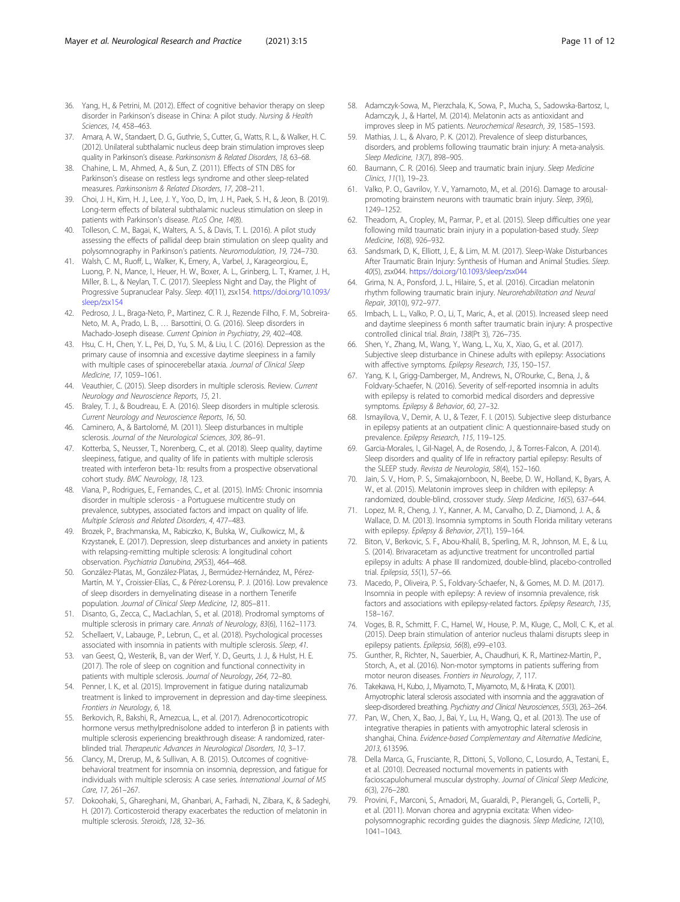- <span id="page-10-0"></span>36. Yang, H., & Petrini, M. (2012). Effect of cognitive behavior therapy on sleep disorder in Parkinson's disease in China: A pilot study. Nursing & Health Sciences, 14, 458–463.
- 37. Amara, A. W., Standaert, D. G., Guthrie, S., Cutter, G., Watts, R. L., & Walker, H. C. (2012). Unilateral subthalamic nucleus deep brain stimulation improves sleep quality in Parkinson's disease. Parkinsonism & Related Disorders, 18, 63–68.
- 38. Chahine, L. M., Ahmed, A., & Sun, Z. (2011). Effects of STN DBS for Parkinson's disease on restless legs syndrome and other sleep-related measures. Parkinsonism & Related Disorders, 17, 208–211.
- 39. Choi, J. H., Kim, H. J., Lee, J. Y., Yoo, D., Im, J. H., Paek, S. H., & Jeon, B. (2019). Long-term effects of bilateral subthalamic nucleus stimulation on sleep in patients with Parkinson's disease. PLoS One, 14(8).
- 40. Tolleson, C. M., Bagai, K., Walters, A. S., & Davis, T. L. (2016). A pilot study assessing the effects of pallidal deep brain stimulation on sleep quality and polysomnography in Parkinson's patients. Neuromodulation, 19, 724–730.
- 41. Walsh, C. M., Ruoff, L., Walker, K., Emery, A., Varbel, J., Karageorgiou, E., Luong, P. N., Mance, I., Heuer, H. W., Boxer, A. L., Grinberg, L. T., Kramer, J. H., Miller, B. L., & Neylan, T. C. (2017). Sleepless Night and Day, the Plight of Progressive Supranuclear Palsy. Sleep. 40(11), zsx154. [https://doi.org/10.1093/](https://doi.org/10.1093/sleep/zsx154) [sleep/zsx154](https://doi.org/10.1093/sleep/zsx154)
- 42. Pedroso, J. L., Braga-Neto, P., Martinez, C. R. J., Rezende Filho, F. M., Sobreira-Neto, M. A., Prado, L. B., … Barsottini, O. G. (2016). Sleep disorders in Machado-Joseph disease. Current Opinion in Psychiatry, 29, 402–408.
- 43. Hsu, C. H., Chen, Y. L., Pei, D., Yu, S. M., & Liu, I. C. (2016). Depression as the primary cause of insomnia and excessive daytime sleepiness in a family with multiple cases of spinocerebellar ataxia. Journal of Clinical Sleep Medicine, 17, 1059–1061.
- 44. Veauthier, C. (2015). Sleep disorders in multiple sclerosis. Review. Current Neurology and Neuroscience Reports, 15, 21.
- 45. Braley, T. J., & Boudreau, E. A. (2016). Sleep disorders in multiple sclerosis. Current Neurology and Neuroscience Reports, 16, 50.
- 46. Caminero, A., & Bartolomé, M. (2011). Sleep disturbances in multiple sclerosis. Journal of the Neurological Sciences, 309, 86–91.
- 47. Kotterba, S., Neusser, T., Norenberg, C., et al. (2018). Sleep quality, daytime sleepiness, fatigue, and quality of life in patients with multiple sclerosis treated with interferon beta-1b: results from a prospective observational cohort study. BMC Neurology, 18, 123.
- 48. Viana, P., Rodrigues, E., Fernandes, C., et al. (2015). InMS: Chronic insomnia disorder in multiple sclerosis - a Portuguese multicentre study on prevalence, subtypes, associated factors and impact on quality of life. Multiple Sclerosis and Related Disorders, 4, 477–483.
- 49. Brozek, P., Brachmanska, M., Rabiczko, K., Bulska, W., Ciulkowicz, M., & Krzystanek, E. (2017). Depression, sleep disturbances and anxiety in patients with relapsing-remitting multiple sclerosis: A longitudinal cohort observation. Psychiatria Danubina, 29(S3), 464–468.
- 50. González-Platas, M., González-Platas, J., Bermúdez-Hernández, M., Pérez-Martín, M. Y., Croissier-Elías, C., & Pérez-Lorensu, P. J. (2016). Low prevalence of sleep disorders in demyelinating disease in a northern Tenerife population. Journal of Clinical Sleep Medicine, 12, 805–811.
- 51. Disanto, G., Zecca, C., MacLachlan, S., et al. (2018). Prodromal symptoms of multiple sclerosis in primary care. Annals of Neurology, 83(6), 1162–1173.
- 52. Schellaert, V., Labauge, P., Lebrun, C., et al. (2018). Psychological processes associated with insomnia in patients with multiple sclerosis. Sleep, 41.
- 53. van Geest, Q., Westerik, B., van der Werf, Y. D., Geurts, J. J., & Hulst, H. E. (2017). The role of sleep on cognition and functional connectivity in patients with multiple sclerosis. Journal of Neurology, 264, 72–80.
- 54. Penner, I. K., et al. (2015). Improvement in fatigue during natalizumab treatment is linked to improvement in depression and day-time sleepiness. Frontiers in Neurology, 6, 18.
- 55. Berkovich, R., Bakshi, R., Amezcua, L., et al. (2017). Adrenocorticotropic hormone versus methylprednisolone added to interferon β in patients with multiple sclerosis experiencing breakthrough disease: A randomized, raterblinded trial. Therapeutic Advances in Neurological Disorders, 10, 3–17.
- 56. Clancy, M., Drerup, M., & Sullivan, A. B. (2015). Outcomes of cognitivebehavioral treatment for insomnia on insomnia, depression, and fatigue for individuals with multiple sclerosis: A case series. International Journal of MS Care, 17, 261–267.
- 57. Dokoohaki, S., Ghareghani, M., Ghanbari, A., Farhadi, N., Zibara, K., & Sadeghi, H. (2017). Corticosteroid therapy exacerbates the reduction of melatonin in multiple sclerosis. Steroids, 128, 32–36.
- 58. Adamczyk-Sowa, M., Pierzchala, K., Sowa, P., Mucha, S., Sadowska-Bartosz, I., Adamczyk, J., & Hartel, M. (2014). Melatonin acts as antioxidant and improves sleep in MS patients. Neurochemical Research, 39, 1585–1593.
- 59. Mathias, J. L., & Alvaro, P. K. (2012). Prevalence of sleep disturbances, disorders, and problems following traumatic brain injury: A meta-analysis. Sleep Medicine, 13(7), 898–905.
- 60. Baumann, C. R. (2016). Sleep and traumatic brain injury. Sleep Medicine Clinics, 11(1), 19–23.
- 61. Valko, P. O., Gavrilov, Y. V., Yamamoto, M., et al. (2016). Damage to arousalpromoting brainstem neurons with traumatic brain injury. Sleep, 39(6), 1249–1252.
- 62. Theadom, A., Cropley, M., Parmar, P., et al. (2015). Sleep difficulties one year following mild traumatic brain injury in a population-based study. Sleep Medicine, 16(8), 926–932.
- 63. Sandsmark, D, K., Elliott, J, E., & Lim, M. M. (2017). Sleep-Wake Disturbances After Traumatic Brain Injury: Synthesis of Human and Animal Studies. Sleep. 40(5), zsx044. <https://doi.org/10.1093/sleep/zsx044>
- 64. Grima, N. A., Ponsford, J. L., Hilaire, S., et al. (2016). Circadian melatonin rhythm following traumatic brain injury. Neurorehabilitation and Neural Repair, 30(10), 972–977.
- 65. Imbach, L. L., Valko, P. O., Li, T., Maric, A., et al. (2015). Increased sleep need and daytime sleepiness 6 month safter traumatic brain injury: A prospective controlled clinical trial. Brain, 138(Pt 3), 726–735.
- 66. Shen, Y., Zhang, M., Wang, Y., Wang, L., Xu, X., Xiao, G., et al. (2017). Subjective sleep disturbance in Chinese adults with epilepsy: Associations with affective symptoms. Epilepsy Research, 135, 150–157.
- 67. Yang, K. I., Grigg-Damberger, M., Andrews, N., O'Rourke, C., Bena, J., & Foldvary-Schaefer, N. (2016). Severity of self-reported insomnia in adults with epilepsy is related to comorbid medical disorders and depressive symptoms. Epilepsy & Behavior, 60, 27–32.
- 68. Ismayilova, V., Demir, A. U., & Tezer, F. I. (2015). Subjective sleep disturbance in epilepsy patients at an outpatient clinic: A questionnaire-based study on prevalence. Epilepsy Research, 115, 119–125.
- 69. Garcia-Morales, I., Gil-Nagel, A., de Rosendo, J., & Torres-Falcon, A. (2014). Sleep disorders and quality of life in refractory partial epilepsy: Results of the SLEEP study. Revista de Neurologia, 58(4), 152–160.
- 70. Jain, S. V., Horn, P. S., Simakajornboon, N., Beebe, D. W., Holland, K., Byars, A. W., et al. (2015). Melatonin improves sleep in children with epilepsy: A randomized, double-blind, crossover study. Sleep Medicine, 16(5), 637–644.
- 71. Lopez, M. R., Cheng, J. Y., Kanner, A. M., Carvalho, D. Z., Diamond, J. A., & Wallace, D. M. (2013). Insomnia symptoms in South Florida military veterans with epilepsy. Epilepsy & Behavior, 27(1), 159–164.
- 72. Biton, V., Berkovic, S. F., Abou-Khalil, B., Sperling, M. R., Johnson, M. E., & Lu, S. (2014). Brivaracetam as adjunctive treatment for uncontrolled partial epilepsy in adults: A phase III randomized, double-blind, placebo-controlled trial. Epilepsia, 55(1), 57–66.
- 73. Macedo, P., Oliveira, P. S., Foldvary-Schaefer, N., & Gomes, M. D. M. (2017). Insomnia in people with epilepsy: A review of insomnia prevalence, risk factors and associations with epilepsy-related factors. Epilepsy Research, 135, 158–167.
- 74. Voges, B. R., Schmitt, F. C., Hamel, W., House, P. M., Kluge, C., Moll, C. K., et al. (2015). Deep brain stimulation of anterior nucleus thalami disrupts sleep in epilepsy patients. Epilepsia, 56(8), e99–e103.
- 75. Gunther, R., Richter, N., Sauerbier, A., Chaudhuri, K. R., Martinez-Martin, P., Storch, A., et al. (2016). Non-motor symptoms in patients suffering from motor neuron diseases. Frontiers in Neurology, 7, 117.
- 76. Takekawa, H., Kubo, J., Miyamoto, T., Miyamoto, M., & Hirata, K. (2001). Amyotrophic lateral sclerosis associated with insomnia and the aggravation of sleep-disordered breathing. Psychiatry and Clinical Neurosciences, 55(3), 263–264.
- 77. Pan, W., Chen, X., Bao, J., Bai, Y., Lu, H., Wang, Q., et al. (2013). The use of integrative therapies in patients with amyotrophic lateral sclerosis in shanghai, China. Evidence-based Complementary and Alternative Medicine, 2013, 613596.
- 78. Della Marca, G., Frusciante, R., Dittoni, S., Vollono, C., Losurdo, A., Testani, E., et al. (2010). Decreased nocturnal movements in patients with facioscapulohumeral muscular dystrophy. Journal of Clinical Sleep Medicine, 6(3), 276–280.
- 79. Provini, F., Marconi, S., Amadori, M., Guaraldi, P., Pierangeli, G., Cortelli, P., et al. (2011). Morvan chorea and agrypnia excitata: When videopolysomnographic recording guides the diagnosis. Sleep Medicine, 12(10), 1041–1043.